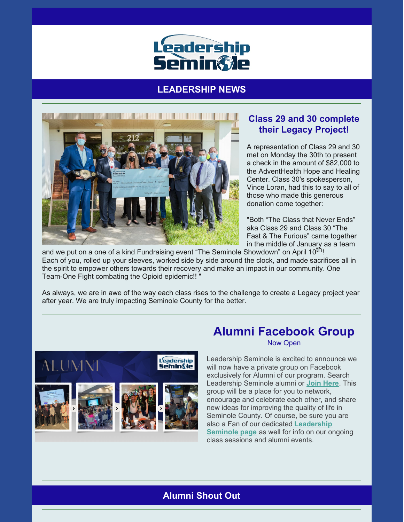

# **LEADERSHIP NEWS**



### **Class 29 and 30 complete their Legacy Project!**

A representation of Class 29 and 30 met on Monday the 30th to present a check in the amount of \$82,000 to the AdventHealth Hope and Healing Center. Class 30's spokesperson, Vince Loran, had this to say to all of those who made this generous donation come together:

"Both "The Class that Never Ends" aka Class 29 and Class 30 "The Fast & The Furious" came together in the middle of January as a team

and we put on a one of a kind Fundraising event "The Seminole Showdown" on April 10<sup>th</sup>! Each of you, rolled up your sleeves, worked side by side around the clock, and made sacrifices all in the spirit to empower others towards their recovery and make an impact in our community. One Team-One Fight combating the Opioid epidemic!! "

As always, we are in awe of the way each class rises to the challenge to create a Legacy project year after year. We are truly impacting Seminole County for the better.



# **Alumni Facebook Group**

Now Open

Leadership Seminole is excited to announce we will now have a private group on Facebook exclusively for Alumni of our program. Search Leadership Seminole alumni or **Join [Here](https://www.facebook.com/groups/leadershipseminolealumni)**. This group will be a place for you to network, encourage and celebrate each other, and share new ideas for improving the quality of life in Seminole County. Of course, be sure you are also a Fan of our dedicated **[Leadership](https://www.facebook.com/LeadershipSeminole) Seminole page** as well for info on our ongoing class sessions and alumni events.

### **Alumni Shout Out**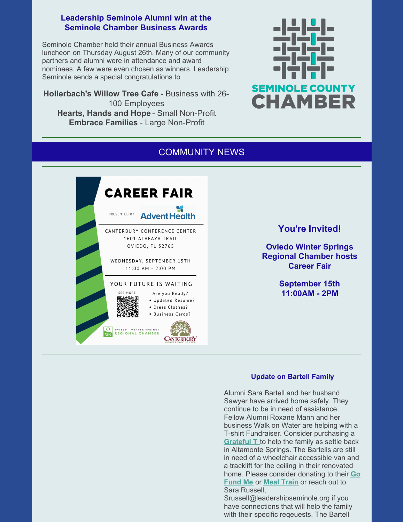#### **Leadership Seminole Alumni win at the Seminole Chamber Business Awards**

Seminole Chamber held their annual Business Awards luncheon on Thursday August 26th. Many of our community partners and alumni were in attendance and award nominees. A few were even chosen as winners. Leadership Seminole sends a special congratulations to

**Hollerbach's Willow Tree Cafe** - Business with 26- 100 Employees **Hearts, Hands and Hope** - Small Non-Profit **Embrace Families** - Large Non-Profit



# COMMUNITY NEWS



**You're Invited!**

**Oviedo Winter Springs Regional Chamber hosts Career Fair**

> **September 15th 11:00AM - 2PM**

#### **Update on Bartell Family**

Alumni Sara Bartell and her husband Sawyer have arrived home safely. They continue to be in need of assistance. Fellow Alumni Roxane Mann and her business Walk on Water are helping with a T-shirt Fundraiser. Consider purchasing a **[Grateful](https://walkonwaterfl.com/collections/new-arrivals/products/grateful-t-shirt) T** to help the family as settle back in Altamonte Springs. The Bartells are still in need of a wheelchair accessible van and a tracklift for the ceiling in their renovated home. Please consider [donating](https://www.gofundme.com/f/sawyers-road-to-recovery?utm_source=facebook&utm_medium=social&utm_campaign=p_cp_guide_do&fbclid=IwAR3lcas3M7kwyfOVVxpKjhkRAHnOfdHi5S4OPcEXScv9Fand0yFT5IxHqPQ) to their **Go Fund Me** or **Meal [Train](https://www.mealtrain.com/trains/q61vn9?fbclid=IwAR1CXeUvbkfRxX7LYxmKevF0RhKySD8GX6jnc4cOWTY-MvCQF3wak090Xi0)** or reach out to Sara Russell,

Srussell@leadershipseminole.org if you have connections that will help the family with their specific reqeuests. The Bartell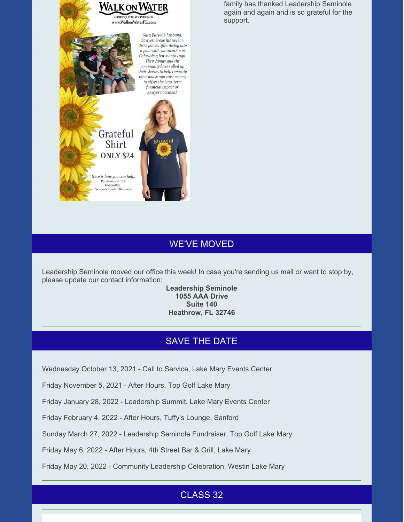

family has thanked Leadership Seminole again and again and is so grateful for the support.

## WE'VE MOVED

Leadership Seminole moved our office this week! In case you're sending us mail or want to stop by, please update our contact information:

#### **Leadership Seminole 1055 AAA Drive Suite 140 Heathrow, FL 32746**

### SAVE THE DATE

Wednesday October 13, 2021 - Call to Service, Lake Mary Events Center

Friday November 5, 2021 - After Hours, Top Golf Lake Mary

Friday January 28, 2022 - Leadership Summit, Lake Mary Events Center

Friday February 4, 2022 - After Hours, Tuffy's Lounge, Sanford

Sunday March 27, 2022 - Leadership Seminole Fundraiser, Top Golf Lake Mary

Friday May 6, 2022 - After Hours, 4th Street Bar & Grill, Lake Mary

Friday May 20, 2022 - Community Leadership Celebration, Westin Lake Mary